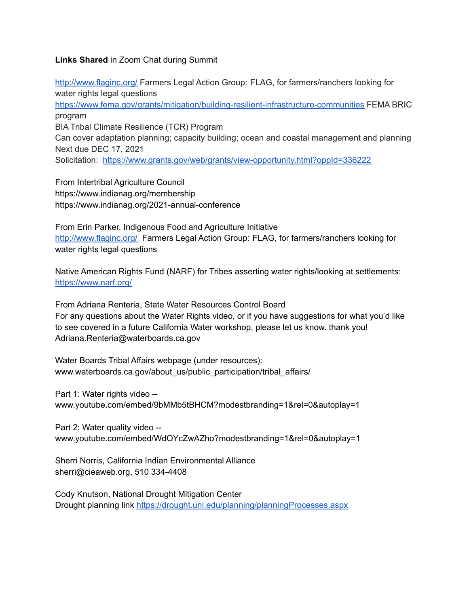## **Links Shared** in Zoom Chat during Summit

<http://www.flaginc.org/> Farmers Legal Action Group: FLAG, for farmers/ranchers looking for water rights legal questions <https://www.fema.gov/grants/mitigation/building-resilient-infrastructure-communities> FEMA BRIC program BIA Tribal Climate Resilience (TCR) Program Can cover adaptation planning; capacity building; ocean and coastal management and planning Next due DEC 17, 2021 Solicitation: <https://www.grants.gov/web/grants/view-opportunity.html?oppId=336222>

From Intertribal Agriculture Council https://www.indianag.org/membership https://www.indianag.org/2021-annual-conference

From Erin Parker, Indigenous Food and Agriculture Initiative <http://www.flaginc.org/> Farmers Legal Action Group: FLAG, for farmers/ranchers looking for water rights legal questions

Native American Rights Fund (NARF) for Tribes asserting water rights/looking at settlements: <https://www.narf.org/>

From Adriana Renteria, State Water Resources Control Board For any questions about the Water Rights video, or if you have suggestions for what you'd like to see covered in a future California Water workshop, please let us know. thank you! Adriana.Renteria@waterboards.ca.gov

Water Boards Tribal Affairs webpage (under resources): www.waterboards.ca.gov/about\_us/public\_participation/tribal\_affairs/

Part 1: Water rights video --

www.youtube.com/embed/9bMMb5tBHCM?modestbranding=1&rel=0&autoplay=1

Part 2: Water quality video - www.youtube.com/embed/WdOYcZwAZho?modestbranding=1&rel=0&autoplay=1

Sherri Norris, California Indian Environmental Alliance sherri@cieaweb.org, 510 334-4408

Cody Knutson, National Drought Mitigation Center Drought planning link <https://drought.unl.edu/planning/planningProcesses.aspx>